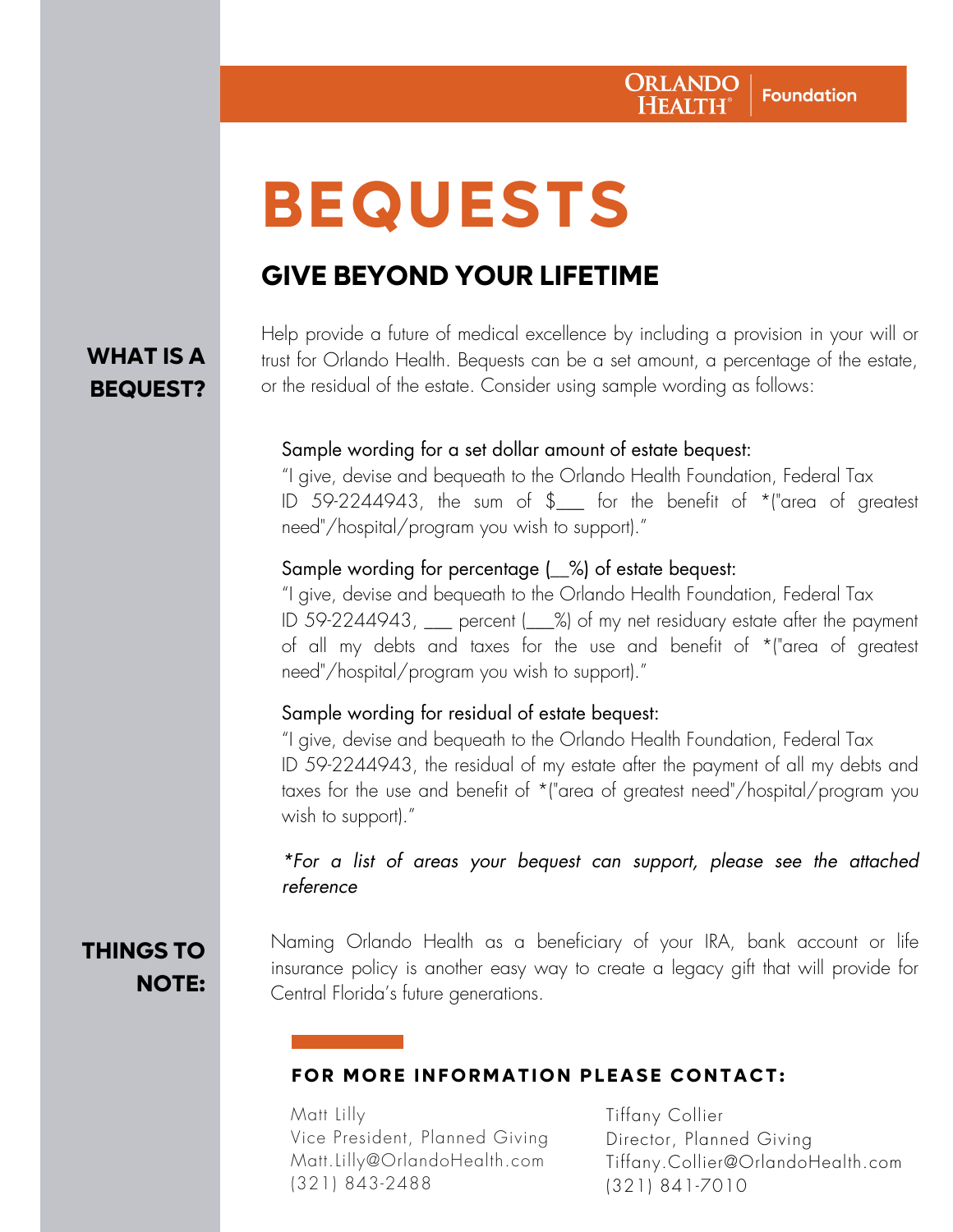# **BEQUESTS**

# **GIVE BEYOND YOUR LIFETIME**

### **WHAT IS A BEQUEST?**

Help provide a future of medical excellence by including a provision in your will or trust for Orlando Health. Bequests can be a set amount, a percentage of the estate, or the residual of the estate. Consider using sample wording as follows:

#### Sample wording for a set dollar amount of estate bequest:

"I give, devise and bequeath to the Orlando Health Foundation, Federal Tax ID 59-2244943, the sum of \$\_\_\_ for the benefit of \*("area of greatest need"/hospital/program you wish to support)."

#### Sample wording for percentage (\_\_%) of estate bequest:

"I give, devise and bequeath to the Orlando Health Foundation, Federal Tax ID 59-2244943, \_\_\_ percent (\_\_\_%) of my net residuary estate after the payment of all my debts and taxes for the use and benefit of \*("area of greatest need"/hospital/program you wish to support)."

#### Sample wording for residual of estate bequest:

"I give, devise and bequeath to the Orlando Health Foundation, Federal Tax ID 59-2244943, the residual of my estate after the payment of all my debts and taxes for the use and benefit of \*("area of greatest need"/hospital/program you wish to support)."

#### \*For a list of areas your bequest can support, please see the attached reference

## **THINGS TO NOTE:**

Naming Orlando Health as a beneficiary of your IRA, bank account or life insurance policy is another easy way to create a legacy gift that will provide for Central Florida's future generations.

#### **FOR MORE INFORMATION PLEASE CONTACT:**

Matt Lilly Vice President, Planned Giving Matt.Lilly@OrlandoHealth.com (321) 843-2488

Tiffany Collier Director, Planned Giving Tiffany.Collier@OrlandoHealth.com (321) 841-7010